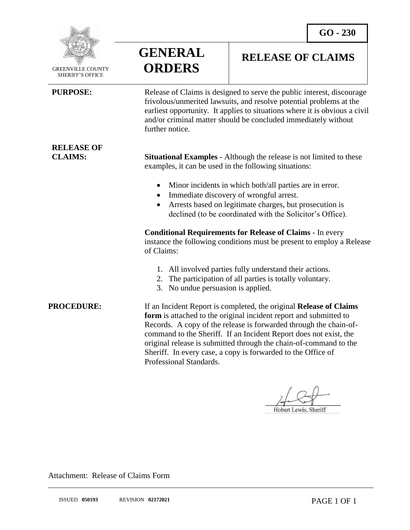

 GREENVILLE COUNTY SHERIFF'S OFFICE

**RELEASE OF** 

 $\overline{a}$ 

**GENERAL ORDERS**

## **RELEASE OF CLAIMS**

**PURPOSE:** Release of Claims is designed to serve the public interest, discourage frivolous/unmerited lawsuits, and resolve potential problems at the earliest opportunity. It applies to situations where it is obvious a civil and/or criminal matter should be concluded immediately without further notice.

**CLAIMS: Situational Examples** - Although the release is not limited to these examples, it can be used in the following situations:

- Minor incidents in which both/all parties are in error.
- Immediate discovery of wrongful arrest.
- Arrests based on legitimate charges, but prosecution is declined (to be coordinated with the Solicitor's Office).

**Conditional Requirements for Release of Claims** - In every instance the following conditions must be present to employ a Release of Claims:

- 1. All involved parties fully understand their actions.
- 2. The participation of all parties is totally voluntary.
- 3. No undue persuasion is applied.

**PROCEDURE:** If an Incident Report is completed, the original **Release of Claims form** is attached to the original incident report and submitted to Records. A copy of the release is forwarded through the chain-ofcommand to the Sheriff. If an Incident Report does not exist, the original release is submitted through the chain-of-command to the Sheriff. In every case, a copy is forwarded to the Office of Professional Standards.

Hobart Lewis, Sheriff

Attachment: Release of Claims Form